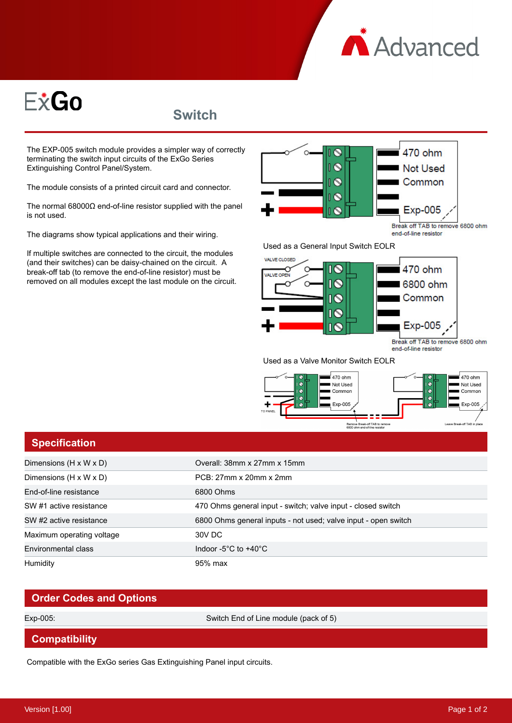



**Switch**

The EXP-005 switch module provides a simpler way of correctly terminating the switch input circuits of the ExGo Series Extinguishing Control Panel/System.

The module consists of a printed circuit card and connector.

The normal 68000Ω end-of-line resistor supplied with the panel is not used.

The diagrams show typical applications and their wiring.

If multiple switches are connected to the circuit, the modules (and their switches) can be daisy-chained on the circuit. A break-off tab (to remove the end-of-line resistor) must be removed on all modules except the last module on the circuit.



Break off TAB to remove 6800 ohm end-of-line resistor

Exp-005

Used as a Valve Monitor Switch EOLR

Λ



## **Specification**

| Dimensions $(H \times W \times D)$ | Overall: 38mm x 27mm x 15mm                                    |
|------------------------------------|----------------------------------------------------------------|
| Dimensions (H x W x D)             | PCB: 27mm x 20mm x 2mm                                         |
| End-of-line resistance             | 6800 Ohms                                                      |
| SW #1 active resistance            | 470 Ohms general input - switch; valve input - closed switch   |
| SW #2 active resistance            | 6800 Ohms general inputs - not used; valve input - open switch |
| Maximum operating voltage          | 30V DC                                                         |
| Environmental class                | Indoor -5 $^{\circ}$ C to +40 $^{\circ}$ C                     |
| Humidity                           | 95% max                                                        |

## **Order Codes and Options**

Exp-005: Switch End of Line module (pack of 5)

## **Compatibility**

Compatible with the ExGo series Gas Extinguishing Panel input circuits.